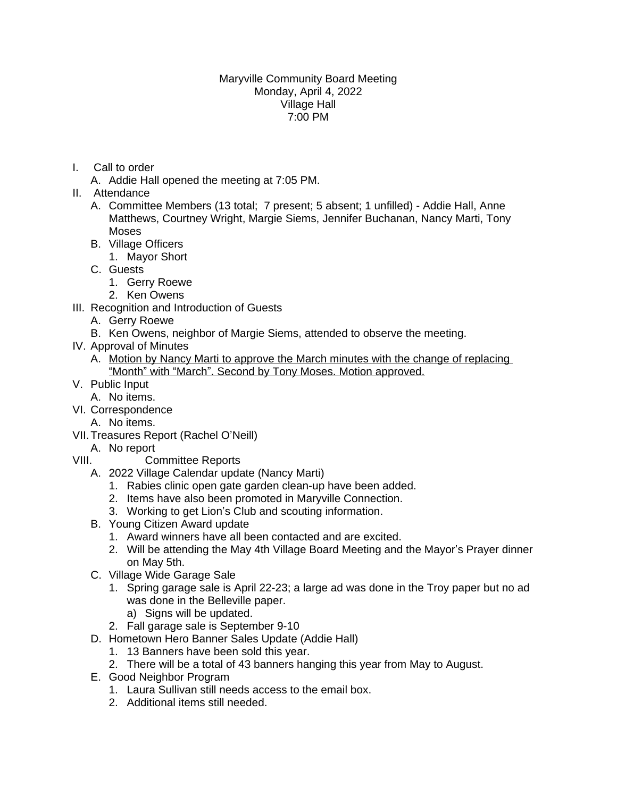## Maryville Community Board Meeting Monday, April 4, 2022 Village Hall 7:00 PM

- I. Call to order
	- A. Addie Hall opened the meeting at 7:05 PM.
- II. Attendance
	- A. Committee Members (13 total; 7 present; 5 absent; 1 unfilled) Addie Hall, Anne Matthews, Courtney Wright, Margie Siems, Jennifer Buchanan, Nancy Marti, Tony Moses
	- B. Village Officers
		- 1. Mayor Short
	- C. Guests
		- 1. Gerry Roewe
		- 2. Ken Owens
- III. Recognition and Introduction of Guests
	- A. Gerry Roewe
	- B. Ken Owens, neighbor of Margie Siems, attended to observe the meeting.
- IV. Approval of Minutes
	- A. Motion by Nancy Marti to approve the March minutes with the change of replacing "Month" with "March". Second by Tony Moses. Motion approved.
- V. Public Input
	- A. No items.
- VI. Correspondence
	- A. No items.
- VII.Treasures Report (Rachel O'Neill)
- A. No report
- VIII. Committee Reports
	- A. 2022 Village Calendar update (Nancy Marti)
		- 1. Rabies clinic open gate garden clean-up have been added.
		- 2. Items have also been promoted in Maryville Connection.
		- 3. Working to get Lion's Club and scouting information.
	- B. Young Citizen Award update
		- 1. Award winners have all been contacted and are excited.
		- 2. Will be attending the May 4th Village Board Meeting and the Mayor's Prayer dinner on May 5th.
	- C. Village Wide Garage Sale
		- 1. Spring garage sale is April 22-23; a large ad was done in the Troy paper but no ad was done in the Belleville paper.
			- a) Signs will be updated.
		- 2. Fall garage sale is September 9-10
	- D. Hometown Hero Banner Sales Update (Addie Hall)
		- 1. 13 Banners have been sold this year.
		- 2. There will be a total of 43 banners hanging this year from May to August.
	- E. Good Neighbor Program
		- 1. Laura Sullivan still needs access to the email box.
		- 2. Additional items still needed.